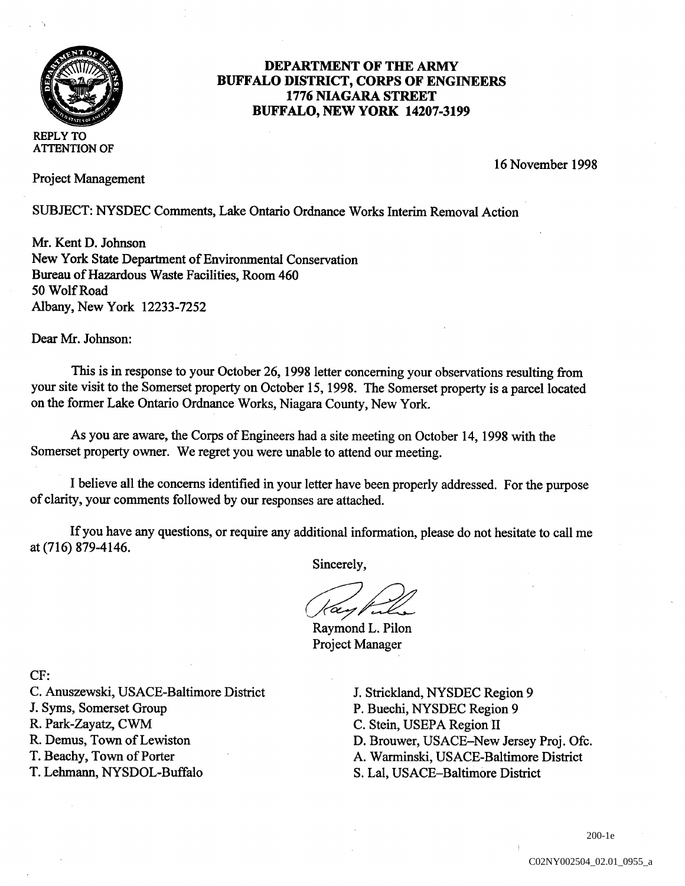

## DEPARTMENT OF THE ARMY BUFFALO DISTRICT, CORPS OF ENGINEERS 1776 NIAGARA STREET BUFFALO, NEW YORK 14207-3199

REPLY TO ATFENTION OF

Project Management

<sup>16</sup> November 1998

SUBJECT: NYSDEC Comments, Lake Ontario Ordnance Works Interim Removal Action

Mr. Kent D. Johnson New York State Department of Environmental Conservation Bureau of Hazardous Waste Facilities Room <sup>460</sup> 50 Wolf Road Albany, New York 12233-7252

Dear Mr. Johnson:

This is in response to your October 26, 1998 letter concerning your observations resulting from your site visit to the Somerset property on October 15, 1998. The Somerset property is a parcel located on the former Lake Ontario Ordnance Works, Niagara County, New York.

As you are aware, the Corps of Engineers had a site meeting on October 14, 1998 with the Somerset property owner. We regret you were unable to attend our meeting.

I believe all the concerns identified in your letter have been properly addressed. For the purpose of clarity, your comments followed by our responses are attached.

If you have any questions, or require any additional information, please do not hesitate to call me at (716) 879-4146.

Sincerely,

6en p

Raymond L. Pilon Project Manager

CF:

C. Anuszewski, USACE-Baltimore District J. Strickland, NYSDEC Region 9

T. Lehmann, NYSDOL-Buffalo S. Lal, USACE-Baltimore District

J. Syms, Somerset Group P. Buechi, NYSDEC Region 9<br>
R. Park-Zayatz, CWM C. Stein, USEPA Region II R. Park-Zayatz, CWM C. Stein, USEPA Region II<br>
R. Demus, Town of Lewiston D. Brouwer, USACE–New R. Demus, Town of Lewiston D. Brouwer, USACE-New Jersey Proj. Ofc.<br>
T. Beachy, Town of Porter A. Warminski, USACE-Baltimore District A. Warminski, USACE-Baltimore District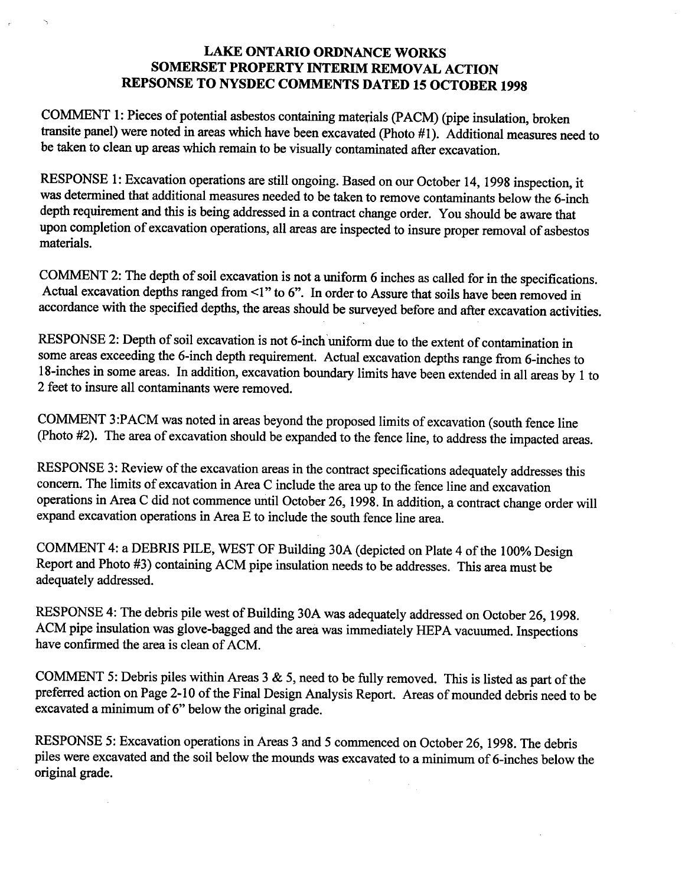## LAKE ONTARIO ORDNANCE WORKS SOMERSET PROPERTY INTERIM REMOVAL ACTION REPSONSE TO NYSDEC COMMENTS DATED <sup>15</sup> OCTOBER <sup>1998</sup>

COMMENT 1: Pieces of potential asbestos containing materials (PACM) (pipe insulation, broken transite panel) were noted in areas which have been excavated (Photo  $#1$ ). Additional measures need to be taken to clean up areas which remain to be visually contaminated after excavation

RESPONSE 1: Excavation operations are still ongoing. Based on our October 14, 1998 inspection, it was determined that additional measures needed to be taken to remove contaminants below the 6-inch depth requirement and this is being addressed in a contract change order. You should be aware that upon completion of excavation operations, all areas are inspected to insure proper removal of asbestos materials

COMMENT 2: The depth of soil excavation is not a uniform 6 inches as called for in the specifications. Actual excavation depths ranged from  $\leq 1$ " to 6". In order to Assure that soils have been removed in accordance with the specified depths, the areas should be surveyed before and after excavation activities.

RESPONSE 2: Depth of soil excavation is not 6-inch uniform due to the extent of contamination in some areas exceeding the 6-inch depth requirement. Actual excavation depths range from 6-inches to 18-inches in some areas. In addition, excavation boundary limits have been extended in all areas by 1 to 2 feet to insure all contaminants were removed.

COMMENT 3:PACM was noted in areas beyond the proposed limits of excavation (south fence line (Photo #2). The area of excavation should be expanded to the fence line, to address the impacted areas.

RESPONSE 3: Review of the excavation areas in the contract specifications adequately addresses this concern. The limits of excavation in Area C include the area up to the fence line and excavation operations in Area C did not commence until October 26, 1998. In addition, a contract change order will expand excavation operations in Area E to include the south fence line area.

COMMENT 4: a DEBRIS PILE, WEST OF Building 30A (depicted on Plate 4 of the 100% Design Report and Photo #3) containing ACM pipe insulation needs to be addresses. This area must be adequately addressed

RESPONSE 4: The debris pile west of Building 30A was adequately addressed on October 26, 1998. ACM pipe insulation was glove-bagged and the area was immediately HEPA vacuumed. Inspections have confirmed the area is clean of ACM.

COMMENT 5: Debris piles within Areas  $3 \& 5$ , need to be fully removed. This is listed as part of the preferred action on Page 2-10 of the Final Design Analysis Report. Areas of mounded debris need to be excavated a minimum of  $6$ " below the original grade.

RESPONSE 5: Excavation operations in Areas 3 and 5 commenced on October 26, 1998. The debris piles were excavated and the soil below the mounds was excavated to a minimum of 6-inches below the original grade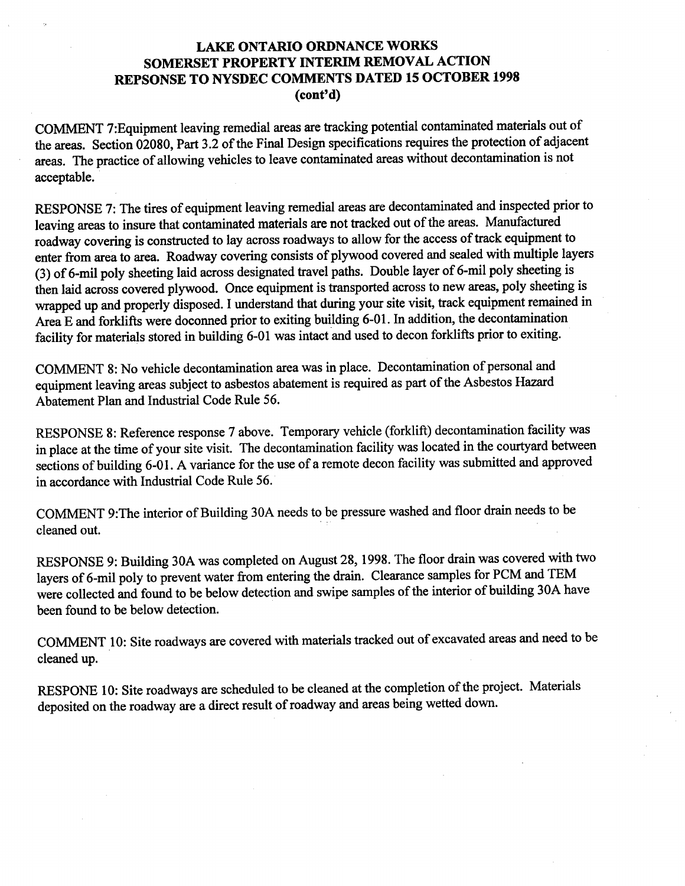## LAKE ONTARIO ORDNANCE WORKS SOMERSET PROPERTY INTERIM REMOVAL ACTION REPSONSE TO NYSDEC COMMENTS DATED <sup>15</sup> OCTOBER <sup>1998</sup>  $(cont<sup>2</sup>d)$

COMMENT 7Equipment leaving remedial areas are tracking potential contaminated materials out of the areas. Section 02080, Part 3.2 of the Final Design specifications requires the protection of adjacent areas. The practice of allowing vehicles to leave contaminated areas without decontamination is not acceptable

RESPONSE 7: The tires of equipment leaving remedial areas are decontaminated and inspected prior to leaving areas to insure that contaminated materials are not tracked out of the areas. Manufactured roadway covering is constructed to lay across roadways to allow for the access of track equipment to enter from area to area Roadway covering consists of plywood covered and sealed with multiple layers (3) of 6-mil poly sheeting laid across designated travel paths. Double layer of 6-mil poly sheeting is then laid across covered plywood. Once equipment is transported across to new areas, poly sheeting is wrapped up and properly disposed. I understand that during your site visit, track equipment remained in Area E and forklifts were doconned prior to exiting building 6-01. In addition, the decontamination facility for materials stored in building 6-01 was intact and used to decon forklifts prior to exiting.

COMMENT 8: No vehicle decontamination area was in place. Decontamination of personal and equipment leaving areas subject to asbestos abatement is required as part of the Asbestos Hazard Abatement Plan and Industrial Code Rule 56

RESPONSE 8: Reference response 7 above. Temporary vehicle (forklift) decontamination facility was in place at the time of your site visit. The decontamination facility was located in the courtyard between sections of building 6-01. A variance for the use of a remote decon facility was submitted and approved in accordance with Industrial Code Rule 56

COMMENT 9: The interior of Building 30A needs to be pressure washed and floor drain needs to be cleaned out

RESPONSE 9: Building 30A was completed on August 28, 1998. The floor drain was covered with two layers of 6-mil poly to prevent water from entering the drain. Clearance samples for PCM and TEM were collected and found to be below detection and swipe samples of the interior of building 30A have been found to be below detection

COMMENT 10: Site roadways are covered with materials tracked out of excavated areas and need to be cleaned up

RESPONE 10: Site roadways are scheduled to be cleaned at the completion of the project. Materials deposited on the roadway are a direct result of roadway and areas being wetted down.